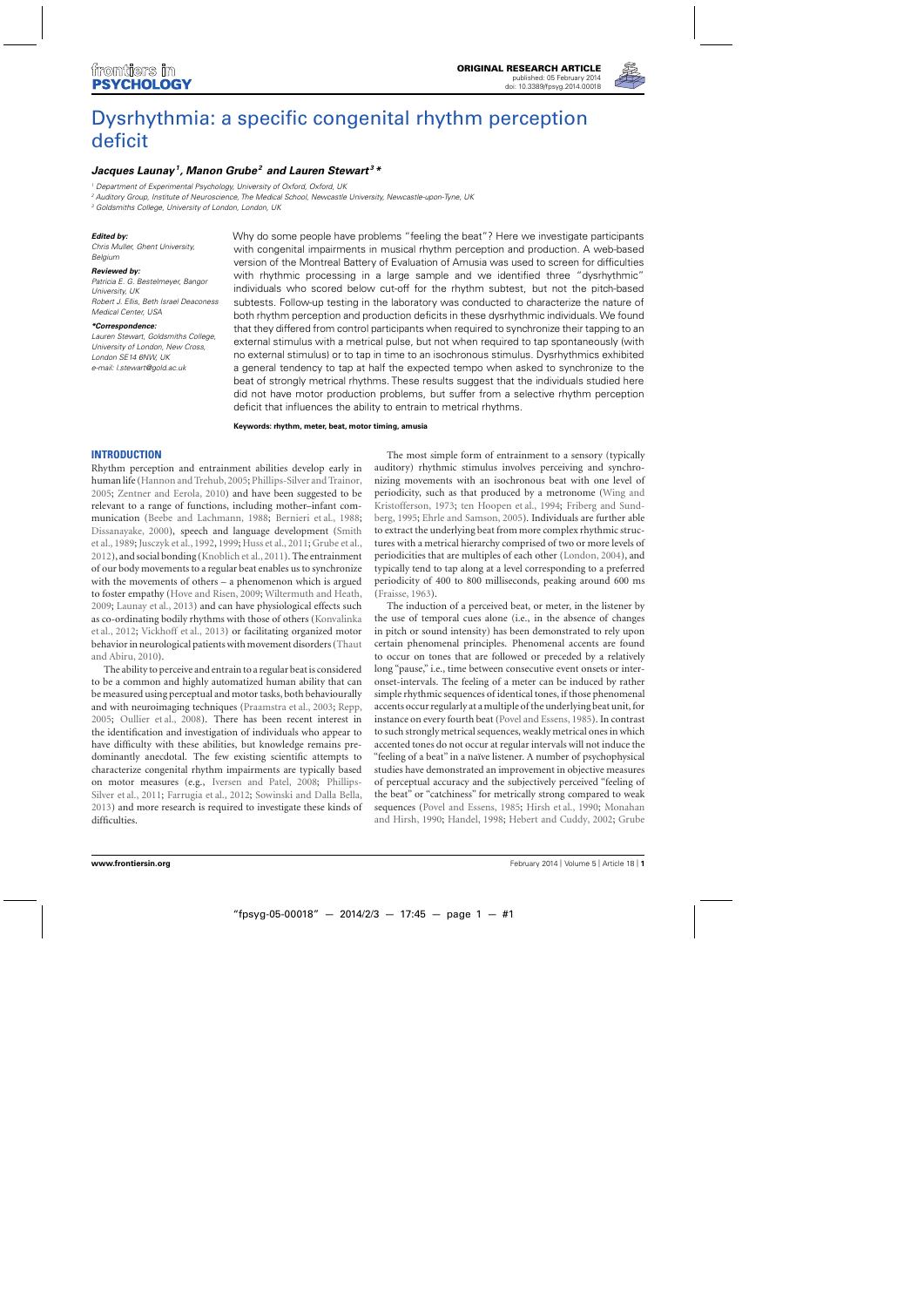

# [Dysrhythmia: a specific congenital rhythm perception](http://www.frontiersin.org/journal/10.3389/fpsyg.2014.00018/abstract) deficit

# *[Jacques Launay](http://www.frontiersin.org/people/u/74419)1, [Manon Grube](http://community.frontiersin.org/people/ManonGrube/16591)2 and [Lauren Stewart](http://www.frontiersin.org/people/u/21277) <sup>3</sup> \**

<sup>1</sup> Department of Experimental Psychology, University of Oxford, Oxford, UK

<sup>2</sup> Auditory Group, Institute of Neuroscience, The Medical School, Newcastle University, Newcastle-upon-Tyne, UK

<sup>3</sup> Goldsmiths College, University of London, London, UK

### *Edited by:*

Chris Muller, Ghent University, Belgium

#### *Reviewed by:*

Patricia E. G. Bestelmeyer, Bangor University, UK Robert J. Ellis, Beth Israel Deaconess Medical Center, USA

#### *\*Correspondence:*

Lauren Stewart, Goldsmiths College, University of London, New Cross, London SE14 6NW, UK e-mail: [l.stewart@gold.ac.uk](mailto:l.stewart@gold.ac.uk)

Why do some people have problems "feeling the beat"? Here we investigate participants with congenital impairments in musical rhythm perception and production. A web-based version of the Montreal Battery of Evaluation of Amusia was used to screen for difficulties with rhythmic processing in a large sample and we identified three "dysrhythmic" individuals who scored below cut-off for the rhythm subtest, but not the pitch-based subtests. Follow-up testing in the laboratory was conducted to characterize the nature of both rhythm perception and production deficits in these dysrhythmic individuals. We found that they differed from control participants when required to synchronize their tapping to an external stimulus with a metrical pulse, but not when required to tap spontaneously (with no external stimulus) or to tap in time to an isochronous stimulus. Dysrhythmics exhibited a general tendency to tap at half the expected tempo when asked to synchronize to the beat of strongly metrical rhythms. These results suggest that the individuals studied here did not have motor production problems, but suffer from a selective rhythm perception deficit that influences the ability to entrain to metrical rhythms.

**Keywords: rhythm, meter, beat, motor timing, amusia**

# **INTRODUCTION**

Rhythm perception and entrainment abilities develop early in human life [\(Hannon and Trehub](#page-6-0),[2005;](#page-6-0) [Phillips-Silver and Trainor](#page-7-0), [2005;](#page-7-0) [Zentner and Eerola](#page-7-0), [2010](#page-7-0)) and have been suggested to be relevant to a range of functions, including mother–infant communication [\(Beebe and Lachmann](#page-6-0), [1988](#page-6-0); [Bernieri et al., 1988;](#page-6-0) [Dissanayake, 2000](#page-6-0)[\), speech and language development \(](#page-7-0)Smith et al., [1989;](#page-7-0) [Jusczyk et al., 1992](#page-7-0), [1999](#page-7-0); [Huss et al.](#page-6-0), [2011;](#page-6-0) [Grube et al.](#page-6-0), [2012\)](#page-6-0), and social bonding [\(Knoblich et al., 2011](#page-7-0)). The entrainment of our body movements to a regular beat enables us to synchronize with the movements of others – a phenomenon which is argued to foster empathy [\(Hove and Risen](#page-6-0), [2009](#page-6-0); [Wiltermuth and Heath](#page-7-0), [2009;](#page-7-0) [Launay et al., 2013](#page-7-0)) and can have physiological effects such as co-ordinating bodily rhythms with those of others (Konvalinka et al., [2012;](#page-7-0) [Vickhoff et al.](#page-7-0), [2013](#page-7-0)) or facilitating organized motor behavior i[n neurological patients with movement disorders \(](#page-7-0)Thaut and Abiru, [2010\)](#page-7-0).

The ability to perceive and entrain to a regular beat is considered to be a common and highly automatized human ability that can be measured using perceptual and motor tasks, both behaviourally and with neuroimaging techniques [\(Praamstra et al., 2003;](#page-7-0) [Repp](#page-7-0), [2005;](#page-7-0) [Oullier et al., 2008](#page-7-0)). There has been recent interest in the identification and investigation of individuals who appear to have difficulty with these abilities, but knowledge remains predominantly anecdotal. The few existing scientific attempts to characterize congenital rhythm impairments are typically based on motor measures (e.g., [Iversen and Patel, 2008](#page-6-0)[;](#page-7-0) Phillips-Silver et al., [2011](#page-7-0); [Farrugia et al., 2012;](#page-6-0) [Sowinski and Dalla Bella](#page-7-0), [2013\)](#page-7-0) and more research is required to investigate these kinds of difficulties.

The most simple form of entrainment to a sensory (typically auditory) rhythmic stimulus involves perceiving and synchronizing movements with an isochronous beat with one level of periodicity, [such](#page-7-0) [as](#page-7-0) [that](#page-7-0) [produced](#page-7-0) [by](#page-7-0) [a](#page-7-0) [metronome](#page-7-0) [\(](#page-7-0)Wing and Kristofferson, [1973](#page-7-0); [ten Hoopen et al.](#page-7-0)[,](#page-6-0) [1994;](#page-7-0) Friberg and Sundberg, [1995](#page-6-0); [Ehrle and Samson](#page-6-0), [2005\)](#page-6-0). Individuals are further able to extract the underlying beat from more complex rhythmic structures with a metrical hierarchy comprised of two or more levels of periodicities that are multiples of each other [\(London, 2004](#page-7-0)), and typically tend to tap along at a level corresponding to a preferred periodicity of 400 to 800 milliseconds, peaking around 600 ms [\(Fraisse, 1963\)](#page-6-0).

The induction of a perceived beat, or meter, in the listener by the use of temporal cues alone (i.e., in the absence of changes in pitch or sound intensity) has been demonstrated to rely upon certain phenomenal principles. Phenomenal accents are found to occur on tones that are followed or preceded by a relatively long "pause," i.e., time between consecutive event onsets or interonset-intervals. The feeling of a meter can be induced by rather simple rhythmic sequences of identical tones, if those phenomenal accents occur regularly at a multiple of the underlying beat unit, for instance on every fourth beat [\(Povel and Essens, 1985\)](#page-7-0). In contrast to such strongly metrical sequences, weakly metrical ones in which accented tones do not occur at regular intervals will not induce the "feeling of a beat" in a naïve listener. A number of psychophysical studies have demonstrated an improvement in objective measures of perceptual accuracy and the subjectively perceived "feeling of the beat" or "catchiness" for metrically strong compared to weak sequences [\(Povel and Essens, 1985;](#page-7-0) [Hirsh et al.](#page-6-0), [1990](#page-6-0); Monahan and Hirsh, [1990;](#page-7-0) [Handel, 1998;](#page-6-0) [Hebert and Cuddy, 2002;](#page-6-0) Grube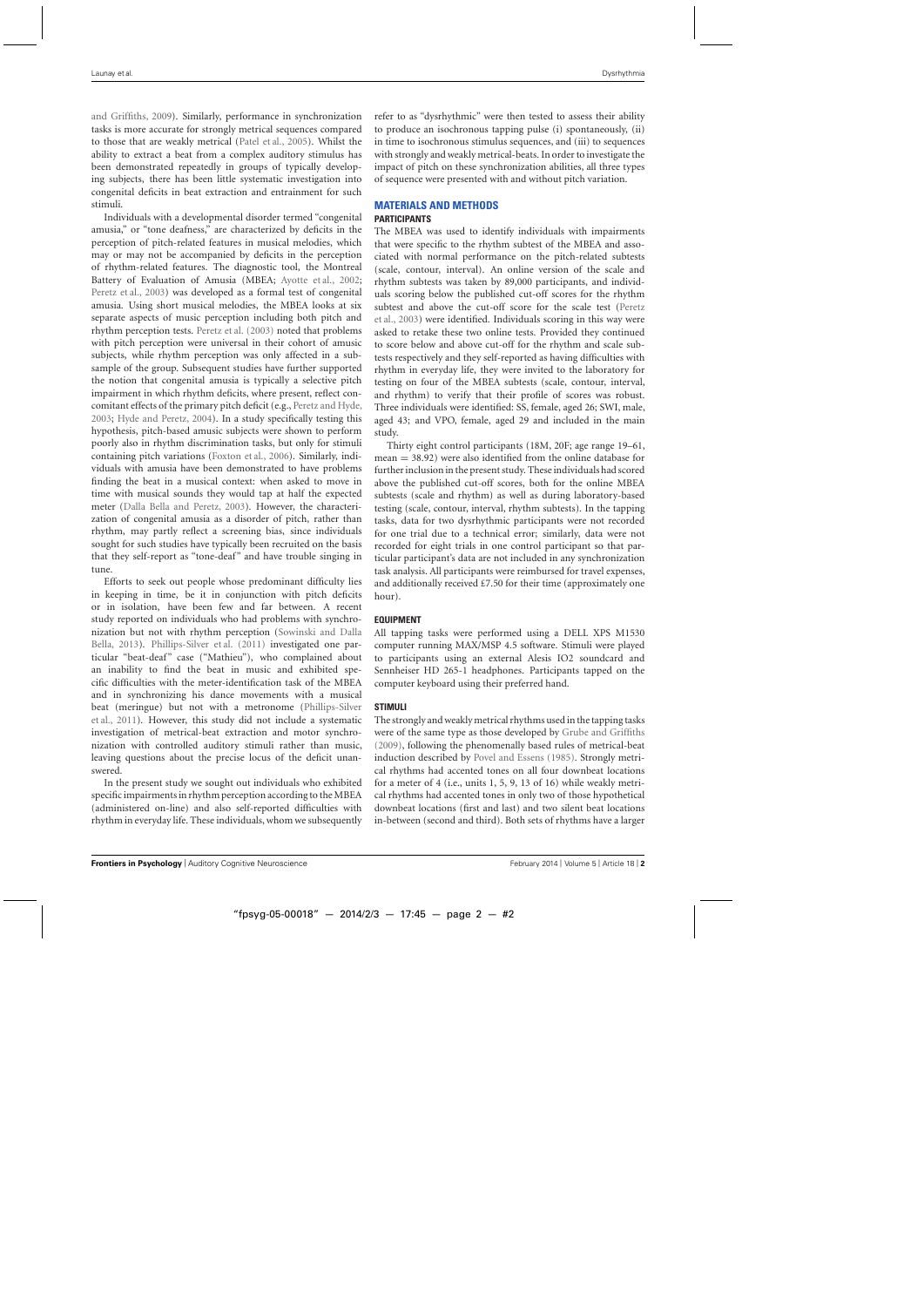and Griffiths, [2009\)](#page-6-0). Similarly, performance in synchronization tasks is more accurate for strongly metrical sequences compared to those that are weakly metrical [\(Patel et al., 2005](#page-7-0)). Whilst the ability to extract a beat from a complex auditory stimulus has been demonstrated repeatedly in groups of typically developing subjects, there has been little systematic investigation into congenital deficits in beat extraction and entrainment for such stimuli.

Individuals with a developmental disorder termed "congenital amusia," or "tone deafness," are characterized by deficits in the perception of pitch-related features in musical melodies, which may or may not be accompanied by deficits in the perception of rhythm-related features. The diagnostic tool, the Montreal Battery of Evaluation of Amusia (MBEA; [Ayotte et al., 2002;](#page-6-0) [Peretz et al.](#page-7-0), [2003](#page-7-0)) was developed as a formal test of congenital amusia. Using short musical melodies, the MBEA looks at six separate aspects of music perception including both pitch and rhythm perception tests. [Peretz et al.](#page-7-0) [\(2003](#page-7-0)) noted that problems with pitch perception were universal in their cohort of amusic subjects, while rhythm perception was only affected in a subsample of the group. Subsequent studies have further supported the notion that congenital amusia is typically a selective pitch impairment in which rhythm deficits, where present, reflect concomitant effects of the primary pitch deficit (e.g., [Peretz and Hyde](#page-7-0), [2003;](#page-7-0) [Hyde and Peretz](#page-6-0), [2004](#page-6-0)). In a study specifically testing this hypothesis, pitch-based amusic subjects were shown to perform poorly also in rhythm discrimination tasks, but only for stimuli containing pitch variations [\(Foxton et al.](#page-6-0), [2006](#page-6-0)). Similarly, individuals with amusia have been demonstrated to have problems finding the beat in a musical context: when asked to move in time with musical sounds they would tap at half the expected meter [\(Dalla Bella and Peretz, 2003](#page-6-0)). However, the characterization of congenital amusia as a disorder of pitch, rather than rhythm, may partly reflect a screening bias, since individuals sought for such studies have typically been recruited on the basis that they self-report as "tone-deaf" and have trouble singing in tune.

Efforts to seek out people whose predominant difficulty lies in keeping in time, be it in conjunction with pitch deficits or in isolation, have been few and far between. A recent study reported on individuals who had problems with synchroniza[tion but not with rhythm perception \(](#page-7-0)Sowinski and Dalla Bella, [2013\)](#page-7-0). [Phillips-Silver et al.](#page-7-0) [\(2011\)](#page-7-0) investigated one particular "beat-deaf" case ("Mathieu"), who complained about an inability to find the beat in music and exhibited specific difficulties with the meter-identification task of the MBEA and in synchronizing his dance movements with a musical beat [\(meringue\) but not with a metronome \(](#page-7-0)Phillips-Silver et al., [2011\)](#page-7-0). However, this study did not include a systematic investigation of metrical-beat extraction and motor synchronization with controlled auditory stimuli rather than music, leaving questions about the precise locus of the deficit unanswered.

In the present study we sought out individuals who exhibited specific impairments in rhythm perception according to the MBEA (administered on-line) and also self-reported difficulties with rhythm in everyday life. These individuals, whom we subsequently refer to as "dysrhythmic" were then tested to assess their ability to produce an isochronous tapping pulse (i) spontaneously, (ii) in time to isochronous stimulus sequences, and (iii) to sequences with strongly and weakly metrical-beats. In order to investigate the impact of pitch on these synchronization abilities, all three types of sequence were presented with and without pitch variation.

# **MATERIALS AND METHODS**

# **PARTICIPANTS**

The MBEA was used to identify individuals with impairments that were specific to the rhythm subtest of the MBEA and associated with normal performance on the pitch-related subtests (scale, contour, interval). An online version of the scale and rhythm subtests was taken by 89,000 participants, and individuals scoring below the published cut-off scores for the rhythm subt[est and above the cut-off score for the scale test \(](#page-7-0)Peretz et al., [2003\)](#page-7-0) were identified. Individuals scoring in this way were asked to retake these two online tests. Provided they continued to score below and above cut-off for the rhythm and scale subtests respectively and they self-reported as having difficulties with rhythm in everyday life, they were invited to the laboratory for testing on four of the MBEA subtests (scale, contour, interval, and rhythm) to verify that their profile of scores was robust. Three individuals were identified: SS, female, aged 26; SWI, male, aged 43; and VPO, female, aged 29 and included in the main study.

Thirty eight control participants (18M, 20F; age range 19–61, mean = 38.92) were also identified from the online database for further inclusion in the present study. These individuals had scored above the published cut-off scores, both for the online MBEA subtests (scale and rhythm) as well as during laboratory-based testing (scale, contour, interval, rhythm subtests). In the tapping tasks, data for two dysrhythmic participants were not recorded for one trial due to a technical error; similarly, data were not recorded for eight trials in one control participant so that particular participant's data are not included in any synchronization task analysis. All participants were reimbursed for travel expenses, and additionally received £7.50 for their time (approximately one hour).

# **EQUIPMENT**

All tapping tasks were performed using a DELL XPS M1530 computer running MAX/MSP 4.5 software. Stimuli were played to participants using an external Alesis IO2 soundcard and Sennheiser HD 265-1 headphones. Participants tapped on the computer keyboard using their preferred hand.

# **STIMULI**

The strongly and weakly metrical rhythms used in the tapping tasks were of the same type as those developed by [Grube and Griffiths](#page-6-0) [\(2009](#page-6-0)), following the phenomenally based rules of metrical-beat induction described by [Povel and Essens](#page-7-0) [\(1985](#page-7-0)). Strongly metrical rhythms had accented tones on all four downbeat locations for a meter of 4 (i.e., units 1, 5, 9, 13 of 16) while weakly metrical rhythms had accented tones in only two of those hypothetical downbeat locations (first and last) and two silent beat locations in-between (second and third). Both sets of rhythms have a larger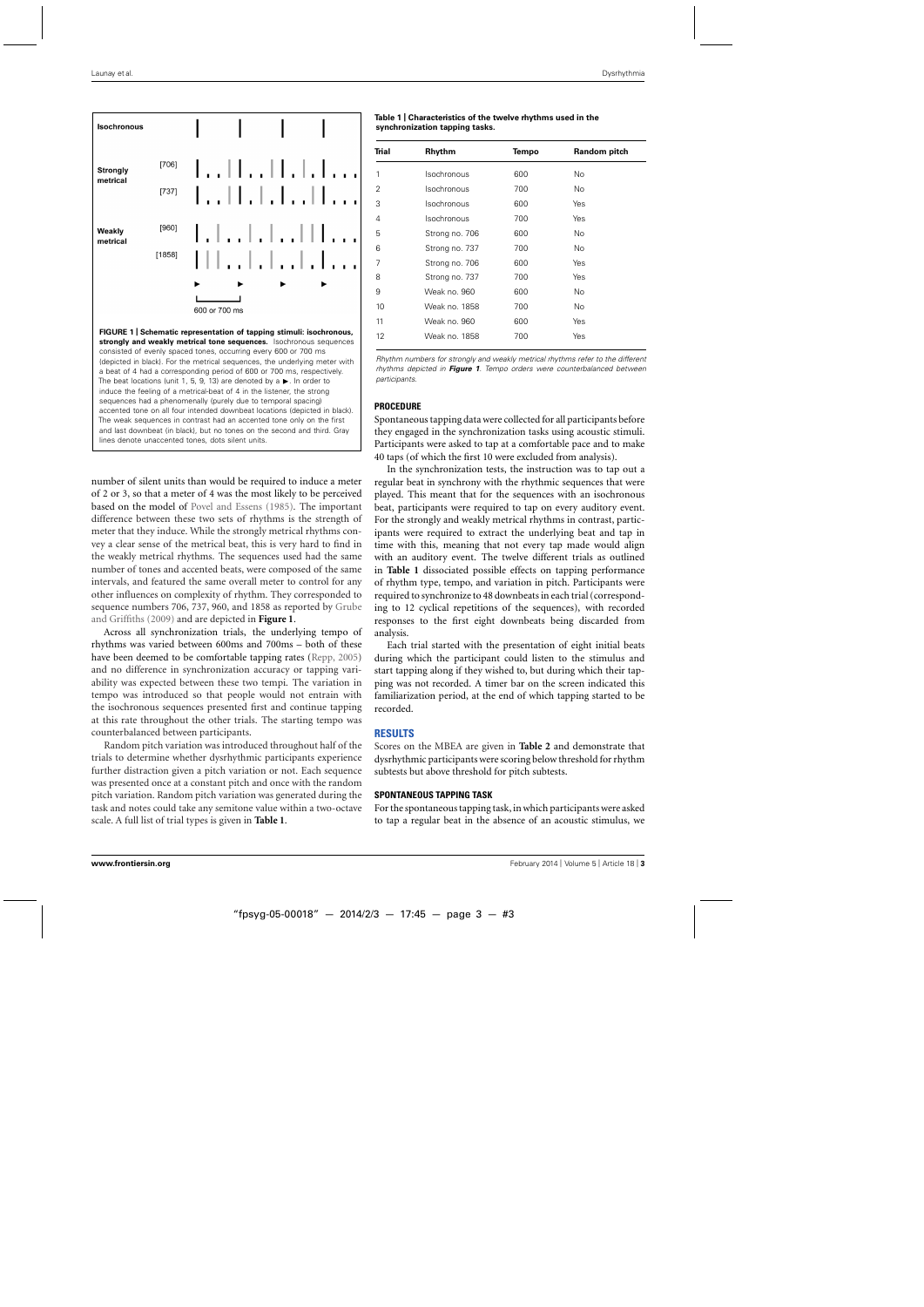

number of silent units than would be required to induce a meter of 2 or 3, so that a meter of 4 was the most likely to be perceived based on the model of [Povel and Essens](#page-7-0) [\(1985\)](#page-7-0). The important difference between these two sets of rhythms is the strength of meter that they induce. While the strongly metrical rhythms convey a clear sense of the metrical beat, this is very hard to find in the weakly metrical rhythms. The sequences used had the same number of tones and accented beats, were composed of the same intervals, and featured the same overall meter to control for any other influences on complexity of rhythm. They corresponded to sequence numbers 706, 737, 960, and 1858 as reported by Grube and Griffiths [\(2009\)](#page-6-0) and are depicted in **Figure 1**.

Across all synchronization trials, the underlying tempo of rhythms was varied between 600ms and 700ms – both of these have been deemed to be comfortable tapping rates [\(Repp, 2005\)](#page-7-0) and no difference in synchronization accuracy or tapping variability was expected between these two tempi. The variation in tempo was introduced so that people would not entrain with the isochronous sequences presented first and continue tapping at this rate throughout the other trials. The starting tempo was counterbalanced between participants.

Random pitch variation was introduced throughout half of the trials to determine whether dysrhythmic participants experience further distraction given a pitch variation or not. Each sequence was presented once at a constant pitch and once with the random pitch variation. Random pitch variation was generated during the task and notes could take any semitone value within a two-octave scale. A full list of trial types is given in **Table 1**.

#### **Table 1 | Characteristics of the twelve rhythms used in the synchronization tapping tasks.**

| <b>Trial</b> | Rhythm             | <b>Tempo</b> | Random pitch |  |  |  |
|--------------|--------------------|--------------|--------------|--|--|--|
| 1            | Isochronous        | 600          | No           |  |  |  |
| 2            | <b>Isochronous</b> | 700          | No           |  |  |  |
| 3            | Isochronous        | 600          | Yes          |  |  |  |
| 4            | Isochronous        | 700          | Yes          |  |  |  |
| 5            | Strong no. 706     | 600          | No           |  |  |  |
| 6            | Strong no. 737     | 700          | No           |  |  |  |
| 7            | Strong no. 706     | 600          | Yes          |  |  |  |
| 8            | Strong no. 737     | 700          | Yes          |  |  |  |
| 9            | Weak no. 960       | 600          | No           |  |  |  |
| 10           | Weak no. 1858      | 700          | No           |  |  |  |
| 11           | Weak no. 960       | 600          | Yes          |  |  |  |
| 12           | Weak no. 1858      | 700          | Yes          |  |  |  |

Rhythm numbers for strongly and weakly metrical rhythms refer to the different rhythms depicted in *Figure 1*. Tempo orders were counterbalanced between participants.

### **PROCEDURE**

Spontaneous tapping data were collected for all participants before they engaged in the synchronization tasks using acoustic stimuli. Participants were asked to tap at a comfortable pace and to make 40 taps (of which the first 10 were excluded from analysis).

In the synchronization tests, the instruction was to tap out a regular beat in synchrony with the rhythmic sequences that were played. This meant that for the sequences with an isochronous beat, participants were required to tap on every auditory event. For the strongly and weakly metrical rhythms in contrast, participants were required to extract the underlying beat and tap in time with this, meaning that not every tap made would align with an auditory event. The twelve different trials as outlined in **Table 1** dissociated possible effects on tapping performance of rhythm type, tempo, and variation in pitch. Participants were required to synchronize to 48 downbeats in each trial (corresponding to 12 cyclical repetitions of the sequences), with recorded responses to the first eight downbeats being discarded from analysis.

Each trial started with the presentation of eight initial beats during which the participant could listen to the stimulus and start tapping along if they wished to, but during which their tapping was not recorded. A timer bar on the screen indicated this familiarization period, at the end of which tapping started to be recorded.

## **RESULTS**

Scores on the MBEA are given in **[Table 2](#page-3-0)** and demonstrate that dysrhythmic participants were scoring below threshold for rhythm subtests but above threshold for pitch subtests.

## **SPONTANEOUS TAPPING TASK**

For the spontaneous tapping task, in which participants were asked to tap a regular beat in the absence of an acoustic stimulus, we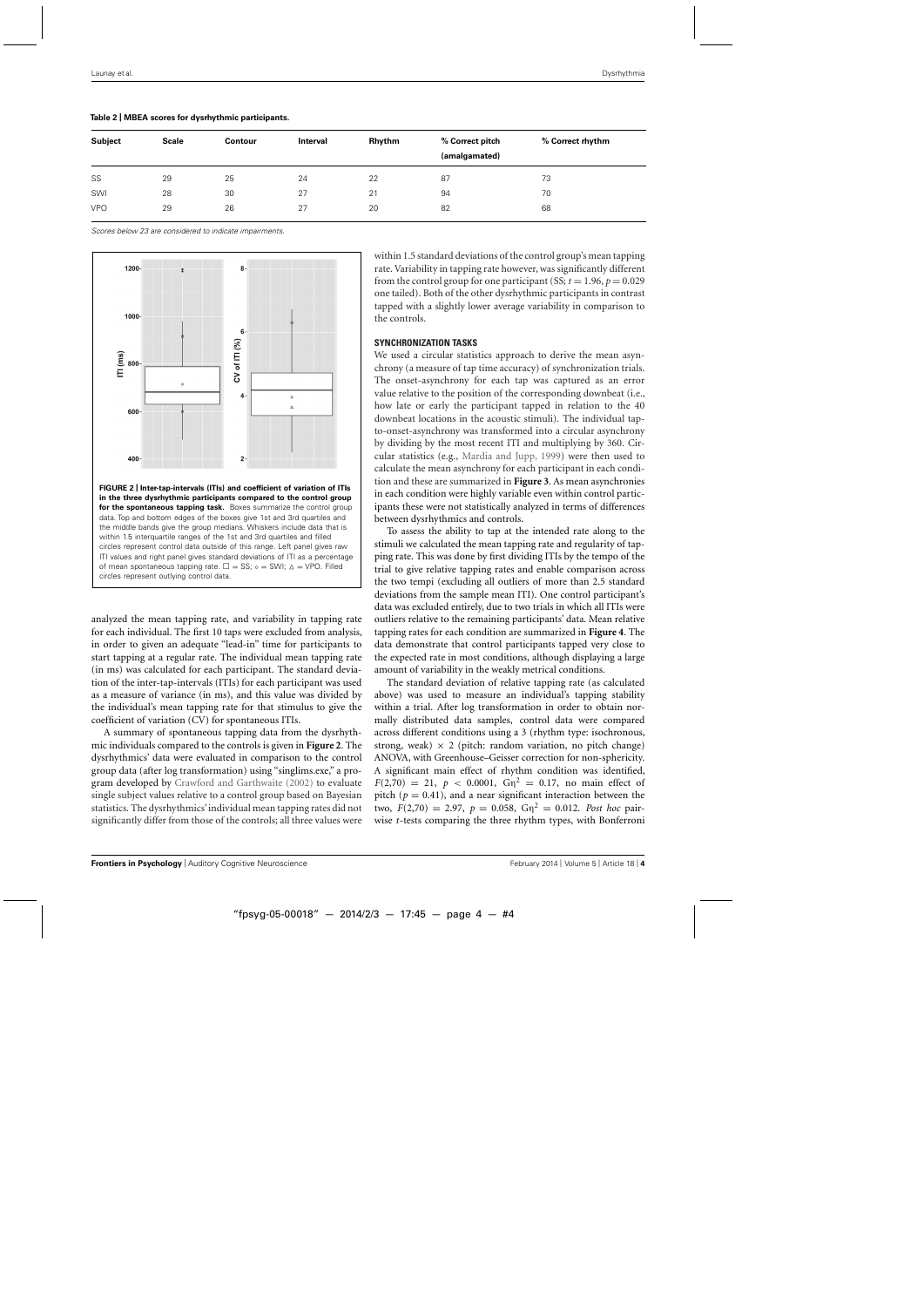| Subject    | <b>Scale</b> | <b>Contour</b> | Rhythm<br>Interval |    | % Correct pitch<br>(amalgamated) | % Correct rhythm |  |  |
|------------|--------------|----------------|--------------------|----|----------------------------------|------------------|--|--|
| SS         | 29           | 25             | 24                 | 22 | 87                               | 73               |  |  |
| SWI        | 28           | 30             | 27                 | 21 | 94                               | 70               |  |  |
| <b>VPO</b> | 29           | 26             | 27                 | 20 | 82                               | 68               |  |  |

<span id="page-3-0"></span>**Table 2 | MBEA scores for dysrhythmic participants.**

Scores below 23 are considered to indicate impairments.



analyzed the mean tapping rate, and variability in tapping rate for each individual. The first 10 taps were excluded from analysis, in order to given an adequate "lead-in" time for participants to start tapping at a regular rate. The individual mean tapping rate (in ms) was calculated for each participant. The standard deviation of the inter-tap-intervals (ITIs) for each participant was used as a measure of variance (in ms), and this value was divided by the individual's mean tapping rate for that stimulus to give the coefficient of variation (CV) for spontaneous ITIs.

A summary of spontaneous tapping data from the dysrhythmic individuals compared to the controls is given in **Figure 2**. The dysrhythmics' data were evaluated in comparison to the control group data (after log transformation) using "singlims.exe," a program developed by [Crawford and Garthwaite](#page-6-0) [\(2002](#page-6-0)) to evaluate single subject values relative to a control group based on Bayesian statistics. The dysrhythmics'individual mean tapping rates did not significantly differ from those of the controls; all three values were within 1.5 standard deviations of the control group's mean tapping rate. Variability in tapping rate however, was significantly different from the control group for one participant (SS;  $t = 1.96$ ,  $p = 0.029$ ) one tailed). Both of the other dysrhythmic participants in contrast tapped with a slightly lower average variability in comparison to the controls.

### **SYNCHRONIZATION TASKS**

We used a circular statistics approach to derive the mean asynchrony (a measure of tap time accuracy) of synchronization trials. The onset-asynchrony for each tap was captured as an error value relative to the position of the corresponding downbeat (i.e., how late or early the participant tapped in relation to the 40 downbeat locations in the acoustic stimuli). The individual tapto-onset-asynchrony was transformed into a circular asynchrony by dividing by the most recent ITI and multiplying by 360. Circular statistics (e.g., [Mardia and Jupp, 1999](#page-7-0)) were then used to calculate the mean asynchrony for each participant in each condition and these are summarized in **[Figure 3](#page-4-0)**. As mean asynchronies in each condition were highly variable even within control participants these were not statistically analyzed in terms of differences between dysrhythmics and controls.

To assess the ability to tap at the intended rate along to the stimuli we calculated the mean tapping rate and regularity of tapping rate. This was done by first dividing ITIs by the tempo of the trial to give relative tapping rates and enable comparison across the two tempi (excluding all outliers of more than 2.5 standard deviations from the sample mean ITI). One control participant's data was excluded entirely, due to two trials in which all ITIs were outliers relative to the remaining participants' data. Mean relative tapping rates for each condition are summarized in **[Figure 4](#page-4-0)**. The data demonstrate that control participants tapped very close to the expected rate in most conditions, although displaying a large amount of variability in the weakly metrical conditions.

The standard deviation of relative tapping rate (as calculated above) was used to measure an individual's tapping stability within a trial. After log transformation in order to obtain normally distributed data samples, control data were compared across different conditions using a 3 (rhythm type: isochronous, strong, weak)  $\times$  2 (pitch: random variation, no pitch change) ANOVA, with Greenhouse–Geisser correction for non-sphericity. A significant main effect of rhythm condition was identified,  $F(2,70) = 21$ ,  $p < 0.0001$ ,  $G\eta^2 = 0.17$ , no main effect of pitch ( $p = 0.41$ ), and a near significant interaction between the two,  $F(2,70) = 2.97$ ,  $p = 0.058$ ,  $G\eta^2 = 0.012$ . *Post hoc* pairwise *t*-tests comparing the three rhythm types, with Bonferroni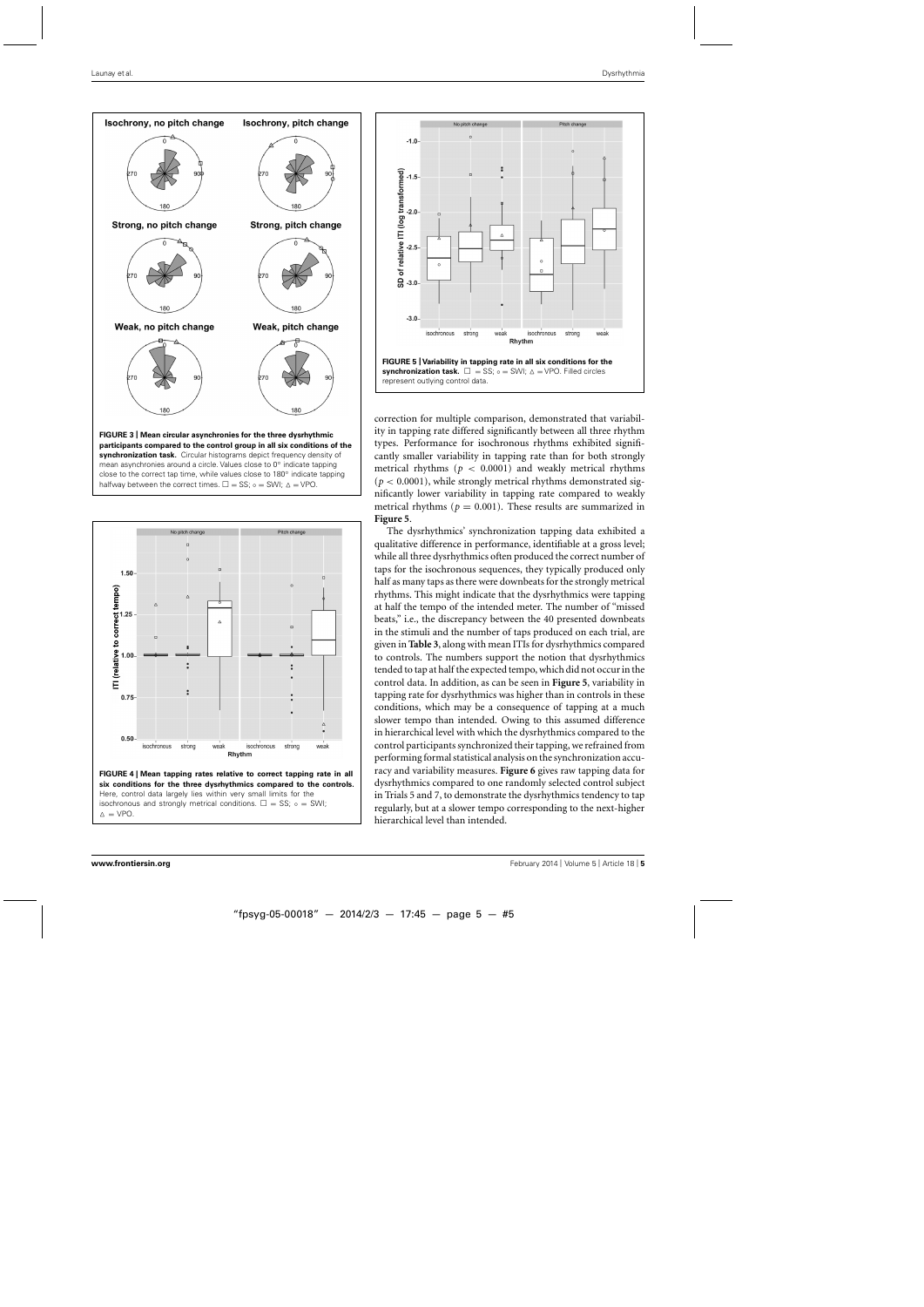<span id="page-4-0"></span>



**FIGURE 4 | Mean tapping rates relative to correct tapping rate in all six conditions for the three dysrhythmics compared to the controls.** Here, control data largely lies within very small limits for the isochronous and strongly metrical conditions.  $\square = SS$ ; ∘ = SWI;  $\triangle = VPO$ 



correction for multiple comparison, demonstrated that variability in tapping rate differed significantly between all three rhythm types. Performance for isochronous rhythms exhibited significantly smaller variability in tapping rate than for both strongly metrical rhythms ( $p < 0.0001$ ) and weakly metrical rhythms  $(p < 0.0001)$ , while strongly metrical rhythms demonstrated significantly lower variability in tapping rate compared to weakly metrical rhythms ( $p = 0.001$ ). These results are summarized in **Figure 5**.

The dysrhythmics' synchronization tapping data exhibited a qualitative difference in performance, identifiable at a gross level; while all three dysrhythmics often produced the correct number of taps for the isochronous sequences, they typically produced only half as many taps as there were downbeats for the strongly metrical rhythms. This might indicate that the dysrhythmics were tapping at half the tempo of the intended meter. The number of "missed beats," i.e., the discrepancy between the 40 presented downbeats in the stimuli and the number of taps produced on each trial, are given in **[Table 3](#page-5-0)**, along with mean ITIs for dysrhythmics compared to controls. The numbers support the notion that dysrhythmics tended to tap at half the expected tempo, which did not occur in the control data. In addition, as can be seen in **Figure 5**, variability in tapping rate for dysrhythmics was higher than in controls in these conditions, which may be a consequence of tapping at a much slower tempo than intended. Owing to this assumed difference in hierarchical level with which the dysrhythmics compared to the control participants synchronized their tapping, we refrained from performingformal statistical analysis on the synchronization accuracy and variability measures. **[Figure 6](#page-5-0)** gives raw tapping data for dysrhythmics compared to one randomly selected control subject in Trials 5 and 7, to demonstrate the dysrhythmics tendency to tap regularly, but at a slower tempo corresponding to the next-higher hierarchical level than intended.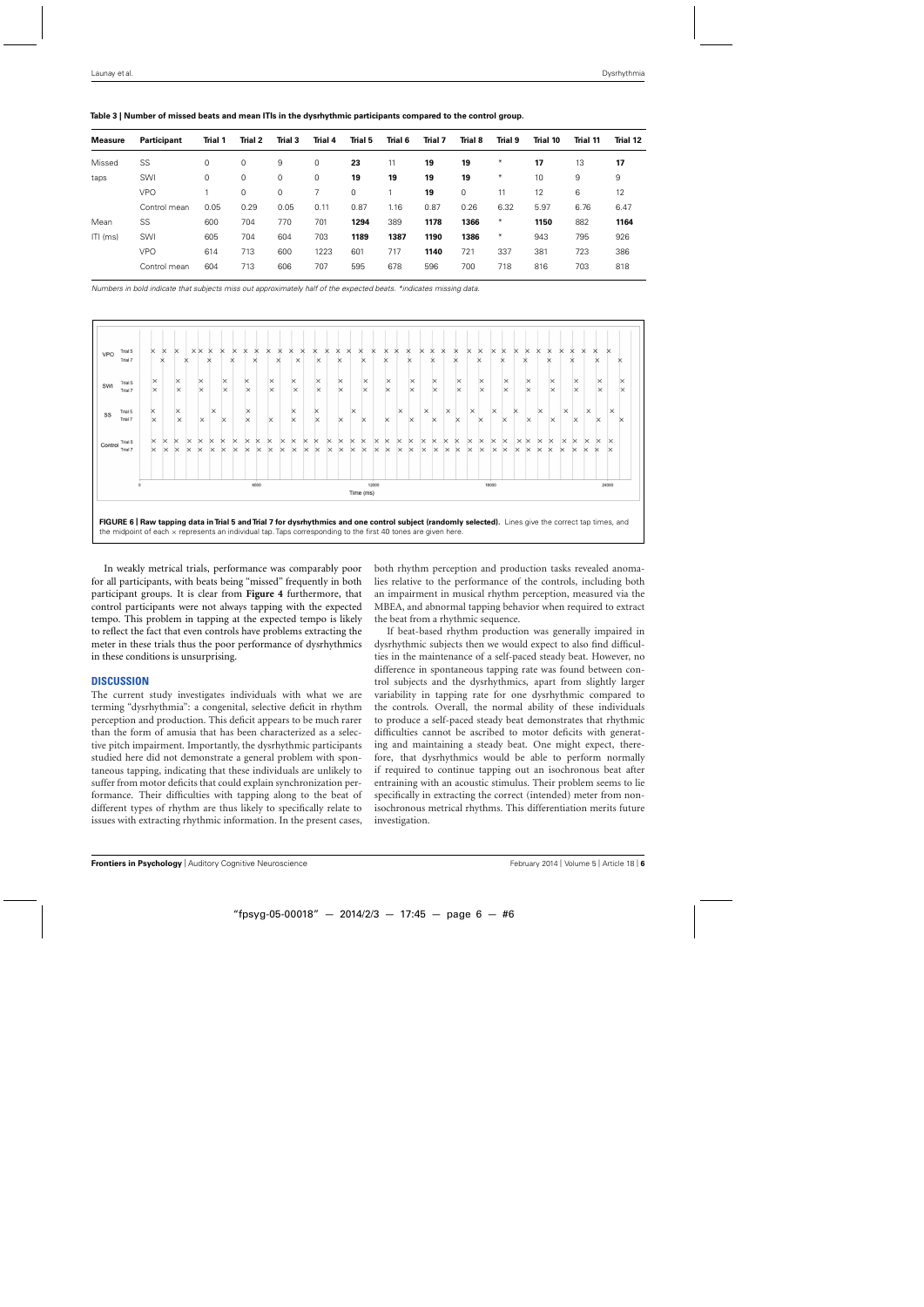<span id="page-5-0"></span>

| Table 3   Number of missed beats and mean ITIs in the dysrhythmic participants compared to the control group. |  |
|---------------------------------------------------------------------------------------------------------------|--|
|                                                                                                               |  |

| <b>Measure</b> | Participant  | Trial 1 | Trial 2     | Trial 3 | <b>Trial 4</b> | Trial 5     | Trial 6 | Trial 7 | Trial 8 | <b>Trial 9</b> | Trial 10 | Trial 11 | Trial 12 |
|----------------|--------------|---------|-------------|---------|----------------|-------------|---------|---------|---------|----------------|----------|----------|----------|
|                |              |         |             |         |                |             |         |         |         |                |          |          |          |
| Missed         | SS           | 0       | 0           | 9       | 0              | 23          | 11      | 19      | 19      | ∗              | 17       | 13       | 17       |
| taps           | SWI          | 0       | 0           | 0       | 0              | 19          | 19      | 19      | 19      | $*$            | 10       | 9        | 9        |
|                | <b>VPO</b>   |         | $\mathbf 0$ | 0       |                | $\mathbf 0$ |         | 19      | 0       | 11             | 12       | 6        | 12       |
|                | Control mean | 0.05    | 0.29        | 0.05    | 0.11           | 0.87        | 1.16    | 0.87    | 0.26    | 6.32           | 5.97     | 6.76     | 6.47     |
| Mean           | SS           | 600     | 704         | 770     | 701            | 1294        | 389     | 1178    | 1366    | $*$            | 1150     | 882      | 1164     |
| $ITI$ (ms)     | SWI          | 605     | 704         | 604     | 703            | 1189        | 1387    | 1190    | 1386    | ∗              | 943      | 795      | 926      |
|                | <b>VPO</b>   | 614     | 713         | 600     | 1223           | 601         | 717     | 1140    | 721     | 337            | 381      | 723      | 386      |
|                | Control mean | 604     | 713         | 606     | 707            | 595         | 678     | 596     | 700     | 718            | 816      | 703      | 818      |

Numbers in bold indicate that subjects miss out approximately half of the expected beats. \*indicates missing data.



**FIGURE 6 | Raw tapping data in Trial 5 and Trial 7 for dysrhythmics and one control subject (randomly selected).** Lines give the correct tap times, and the midpoint of each  $\times$  represents an individual tap. Taps corresponding to the first 40 tones are given here.

In weakly metrical trials, performance was comparably poor for all participants, with beats being "missed" frequently in both participant groups. It is clear from **[Figure 4](#page-4-0)** furthermore, that control participants were not always tapping with the expected tempo. This problem in tapping at the expected tempo is likely to reflect the fact that even controls have problems extracting the meter in these trials thus the poor performance of dysrhythmics in these conditions is unsurprising.

## **DISCUSSION**

The current study investigates individuals with what we are terming "dysrhythmia": a congenital, selective deficit in rhythm perception and production. This deficit appears to be much rarer than the form of amusia that has been characterized as a selective pitch impairment. Importantly, the dysrhythmic participants studied here did not demonstrate a general problem with spontaneous tapping, indicating that these individuals are unlikely to suffer from motor deficits that could explain synchronization performance. Their difficulties with tapping along to the beat of different types of rhythm are thus likely to specifically relate to issues with extracting rhythmic information. In the present cases, both rhythm perception and production tasks revealed anomalies relative to the performance of the controls, including both an impairment in musical rhythm perception, measured via the MBEA, and abnormal tapping behavior when required to extract the beat from a rhythmic sequence.

If beat-based rhythm production was generally impaired in dysrhythmic subjects then we would expect to also find difficulties in the maintenance of a self-paced steady beat. However, no difference in spontaneous tapping rate was found between control subjects and the dysrhythmics, apart from slightly larger variability in tapping rate for one dysrhythmic compared to the controls. Overall, the normal ability of these individuals to produce a self-paced steady beat demonstrates that rhythmic difficulties cannot be ascribed to motor deficits with generating and maintaining a steady beat. One might expect, therefore, that dysrhythmics would be able to perform normally if required to continue tapping out an isochronous beat after entraining with an acoustic stimulus. Their problem seems to lie specifically in extracting the correct (intended) meter from nonisochronous metrical rhythms. This differentiation merits future investigation.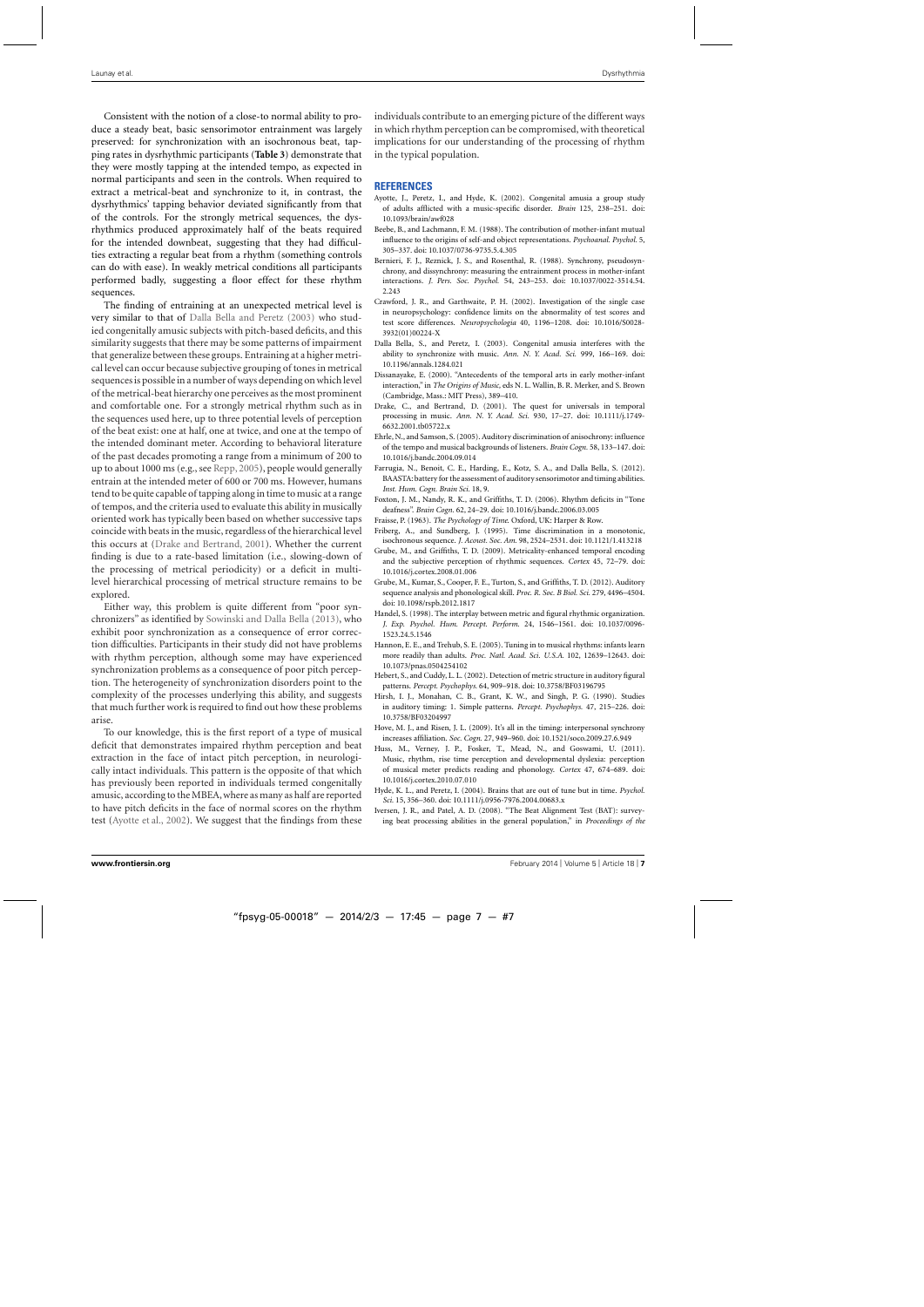<span id="page-6-0"></span>Consistent with the notion of a close-to normal ability to produce a steady beat, basic sensorimotor entrainment was largely preserved: for synchronization with an isochronous beat, tapping rates in dysrhythmic participants (**[Table 3](#page-5-0)**) demonstrate that they were mostly tapping at the intended tempo, as expected in normal participants and seen in the controls. When required to extract a metrical-beat and synchronize to it, in contrast, the dysrhythmics' tapping behavior deviated significantly from that of the controls. For the strongly metrical sequences, the dysrhythmics produced approximately half of the beats required for the intended downbeat, suggesting that they had difficulties extracting a regular beat from a rhythm (something controls can do with ease). In weakly metrical conditions all participants performed badly, suggesting a floor effect for these rhythm sequences.

The finding of entraining at an unexpected metrical level is very similar to that of Dalla Bella and Peretz (2003) who studied congenitally amusic subjects with pitch-based deficits, and this similarity suggests that there may be some patterns of impairment that generalize between these groups. Entraining at a higher metrical level can occur because subjective grouping of tones in metrical sequences is possible in a number of ways depending on which level of the metrical-beat hierarchy one perceives as the most prominent and comfortable one. For a strongly metrical rhythm such as in the sequences used here, up to three potential levels of perception of the beat exist: one at half, one at twice, and one at the tempo of the intended dominant meter. According to behavioral literature of the past decades promoting a range from a minimum of 200 to up to about 1000 ms (e.g., see [Repp](#page-7-0), [2005](#page-7-0)), people would generally entrain at the intended meter of 600 or 700 ms. However, humans tend to be quite capable of tapping along in time to music at a range of tempos, and the criteria used to evaluate this ability in musically oriented work has typically been based on whether successive taps coincide with beats in the music, regardless of the hierarchical level this occurs at (Drake and Bertrand, 2001). Whether the current finding is due to a rate-based limitation (i.e., slowing-down of the processing of metrical periodicity) or a deficit in multilevel hierarchical processing of metrical structure remains to be explored.

Either way, this problem is quite different from "poor synchronizers" as identified by [Sowinski and Dalla Bella](#page-7-0) [\(2013\)](#page-7-0), who exhibit poor synchronization as a consequence of error correction difficulties. Participants in their study did not have problems with rhythm perception, although some may have experienced synchronization problems as a consequence of poor pitch perception. The heterogeneity of synchronization disorders point to the complexity of the processes underlying this ability, and suggests that much further work is required to find out how these problems arise.

To our knowledge, this is the first report of a type of musical deficit that demonstrates impaired rhythm perception and beat extraction in the face of intact pitch perception, in neurologically intact individuals. This pattern is the opposite of that which has previously been reported in individuals termed congenitally amusic, according to the MBEA,where as many as half are reported to have pitch deficits in the face of normal scores on the rhythm test (Ayotte et al., 2002). We suggest that the findings from these individuals contribute to an emerging picture of the different ways in which rhythm perception can be compromised, with theoretical implications for our understanding of the processing of rhythm in the typical population.

### **REFERENCES**

- Ayotte, J., Peretz, I., and Hyde, K. (2002). Congenital amusia a group study of adults afflicted with a music-specific disorder. *Brain* 125, 238–251. doi: 10.1093/brain/awf028
- Beebe, B., and Lachmann, F. M. (1988). The contribution of mother-infant mutual influence to the origins of self-and object representations. *Psychoanal. Psychol.* 5, 305–337. doi: 10.1037/0736-9735.5.4.305
- Bernieri, F. J., Reznick, J. S., and Rosenthal, R. (1988). Synchrony, pseudosynchrony, and dissynchrony: measuring the entrainment process in mother-infant interactions. *J. Pers. Soc. Psychol.* 54, 243–253. doi: 10.1037/0022-3514.54. 2.243
- Crawford, J. R., and Garthwaite, P. H. (2002). Investigation of the single case in neuropsychology: confidence limits on the abnormality of test scores and test score differences. *Neuropsychologia* 40, 1196–1208. doi: 10.1016/S0028- 3932(01)00224-X
- Dalla Bella, S., and Peretz, I. (2003). Congenital amusia interferes with the ability to synchronize with music. *Ann. N. Y. Acad. Sci.* 999, 166–169. doi: 10.1196/annals.1284.021
- Dissanayake, E. (2000). "Antecedents of the temporal arts in early mother-infant interaction," in *The Origins of Music,* eds N. L. Wallin, B. R. Merker, and S. Brown (Cambridge, Mass.: MIT Press), 389–410.
- Drake, C., and Bertrand, D. (2001). The quest for universals in temporal processing in music. *Ann. N. Y. Acad. Sci.* 930, 17–27. doi: 10.1111/j.1749- 6632.2001.tb05722.x
- Ehrle, N., and Samson, S. (2005). Auditory discrimination of anisochrony: influence of the tempo and musical backgrounds of listeners. *Brain Cogn.* 58, 133–147. doi: 10.1016/j.bandc.2004.09.014
- Farrugia, N., Benoit, C. E., Harding, E., Kotz, S. A., and Dalla Bella, S. (2012). BAASTA: battery for the assessment of auditory sensorimotor and timing abilities. *Inst. Hum. Cogn. Brain Sci.* 18, 9.
- Foxton, J. M., Nandy, R. K., and Griffiths, T. D. (2006). Rhythm deficits in "Tone deafness". *Brain Cogn.* 62, 24–29. doi: 10.1016/j.bandc.2006.03.005
- Fraisse, P. (1963). *The Psychology of Time*. Oxford, UK: Harper & Row.
- Friberg, A., and Sundberg, J. (1995). Time discrimination in a monotonic, isochronous sequence. *J. Acoust. Soc. Am.* 98, 2524–2531. doi: 10.1121/1.413218
- Grube, M., and Griffiths, T. D. (2009). Metricality-enhanced temporal encoding and the subjective perception of rhythmic sequences. *Cortex* 45, 72–79. doi: 10.1016/j.cortex.2008.01.006
- Grube, M., Kumar, S., Cooper, F. E., Turton, S., and Griffiths, T. D. (2012). Auditory sequence analysis and phonological skill. *Proc. R. Soc. B Biol. Sci.* 279, 4496–4504. doi: 10.1098/rspb.2012.1817
- Handel, S. (1998). The interplay between metric and figural rhythmic organization. *J. Exp. Psychol. Hum. Percept. Perform.* 24, 1546–1561. doi: 10.1037/0096- 1523.24.5.1546
- Hannon, E. E., and Trehub, S. E. (2005). Tuning in to musical rhythms: infants learn more readily than adults. *Proc. Natl. Acad. Sci. U.S.A.* 102, 12639–12643. doi: 10.1073/pnas.0504254102
- Hebert, S., and Cuddy, L. L. (2002). Detection of metric structure in auditory figural patterns. *Percept. Psychophys.* 64, 909–918. doi: 10.3758/BF03196795
- Hirsh, I. J., Monahan, C. B., Grant, K. W., and Singh, P. G. (1990). Studies in auditory timing: 1. Simple patterns. *Percept. Psychophys.* 47, 215–226. doi: 10.3758/BF03204997
- Hove, M. J., and Risen, J. L. (2009). It's all in the timing: interpersonal synchrony increases affiliation. *Soc. Cogn.* 27, 949–960. doi: 10.1521/soco.2009.27.6.949
- Huss, M., Verney, J. P., Fosker, T., Mead, N., and Goswami, U. (2011). Music, rhythm, rise time perception and developmental dyslexia: perception of musical meter predicts reading and phonology. *Cortex* 47, 674–689. doi: 10.1016/j.cortex.2010.07.010
- Hyde, K. L., and Peretz, I. (2004). Brains that are out of tune but in time. *Psychol. Sci.* 15, 356–360. doi: 10.1111/j.0956-7976.2004.00683.x
- Iversen, J. R., and Patel, A. D. (2008). "The Beat Alignment Test (BAT): surveying beat processing abilities in the general population," in *Proceedings of the*